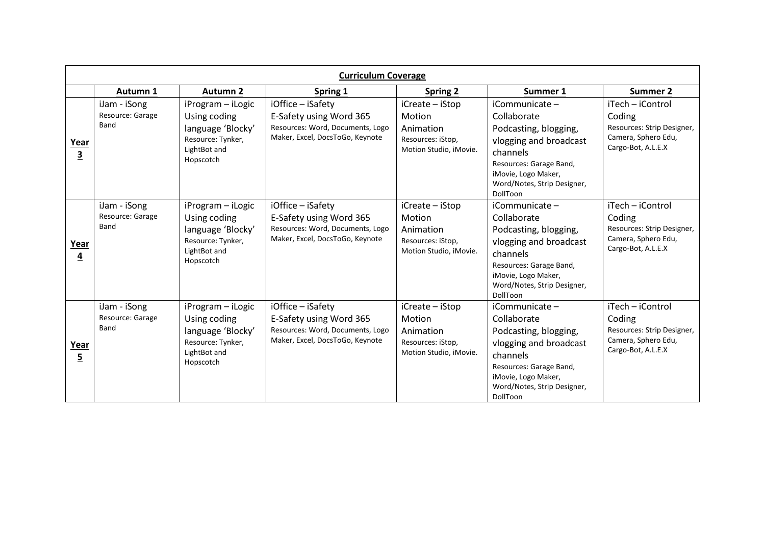| <b>Curriculum Coverage</b> |                                          |                                                                                                          |                                                                                                                     |                                                                                       |                                                                                                                                                                                           |                                                                                                       |  |  |  |
|----------------------------|------------------------------------------|----------------------------------------------------------------------------------------------------------|---------------------------------------------------------------------------------------------------------------------|---------------------------------------------------------------------------------------|-------------------------------------------------------------------------------------------------------------------------------------------------------------------------------------------|-------------------------------------------------------------------------------------------------------|--|--|--|
|                            | Autumn 1                                 | <b>Autumn 2</b>                                                                                          | <b>Spring 1</b>                                                                                                     | Spring 2                                                                              | Summer 1                                                                                                                                                                                  | Summer 2                                                                                              |  |  |  |
| Year<br>$\mathbf{3}$       | iJam - iSong<br>Resource: Garage<br>Band | iProgram - iLogic<br>Using coding<br>language 'Blocky'<br>Resource: Tynker,<br>LightBot and<br>Hopscotch | iOffice - iSafety<br>E-Safety using Word 365<br>Resources: Word, Documents, Logo<br>Maker, Excel, DocsToGo, Keynote | iCreate - iStop<br>Motion<br>Animation<br>Resources: iStop,<br>Motion Studio, iMovie. | iCommunicate -<br>Collaborate<br>Podcasting, blogging,<br>vlogging and broadcast<br>channels<br>Resources: Garage Band,<br>iMovie, Logo Maker,<br>Word/Notes, Strip Designer,<br>DollToon | iTech - iControl<br>Coding<br>Resources: Strip Designer,<br>Camera, Sphero Edu,<br>Cargo-Bot, A.L.E.X |  |  |  |
| Year<br>4                  | iJam - iSong<br>Resource: Garage<br>Band | iProgram - iLogic<br>Using coding<br>language 'Blocky'<br>Resource: Tynker,<br>LightBot and<br>Hopscotch | iOffice - iSafety<br>E-Safety using Word 365<br>Resources: Word, Documents, Logo<br>Maker, Excel, DocsToGo, Keynote | iCreate - iStop<br>Motion<br>Animation<br>Resources: iStop,<br>Motion Studio, iMovie. | iCommunicate -<br>Collaborate<br>Podcasting, blogging,<br>vlogging and broadcast<br>channels<br>Resources: Garage Band,<br>iMovie, Logo Maker,<br>Word/Notes, Strip Designer,<br>DollToon | iTech - iControl<br>Coding<br>Resources: Strip Designer,<br>Camera, Sphero Edu,<br>Cargo-Bot, A.L.E.X |  |  |  |
| Year<br>$\overline{5}$     | iJam - iSong<br>Resource: Garage<br>Band | iProgram - iLogic<br>Using coding<br>language 'Blocky'<br>Resource: Tynker,<br>LightBot and<br>Hopscotch | iOffice - iSafety<br>E-Safety using Word 365<br>Resources: Word, Documents, Logo<br>Maker, Excel, DocsToGo, Keynote | iCreate - iStop<br>Motion<br>Animation<br>Resources: iStop,<br>Motion Studio, iMovie. | iCommunicate -<br>Collaborate<br>Podcasting, blogging,<br>vlogging and broadcast<br>channels<br>Resources: Garage Band,<br>iMovie, Logo Maker,<br>Word/Notes, Strip Designer,<br>DollToon | iTech - iControl<br>Coding<br>Resources: Strip Designer,<br>Camera, Sphero Edu,<br>Cargo-Bot, A.L.E.X |  |  |  |